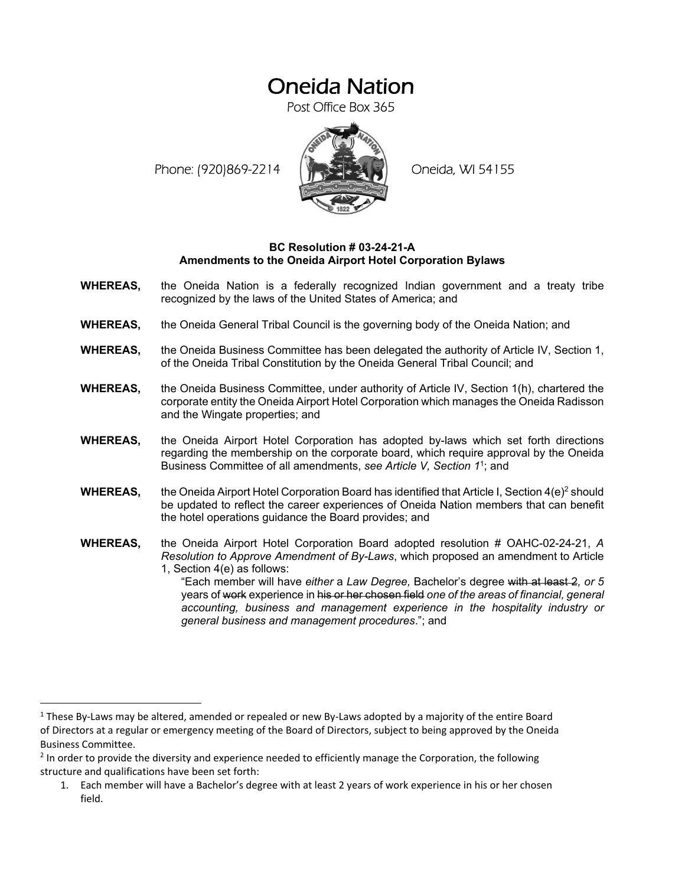## Oneida Nation

Post Office Box 365

Phone: (920)869-2214 (XXXXXXX) Oneida, WI 54155



## **BC Resolution # 03-24-21-A Amendments to the Oneida Airport Hotel Corporation Bylaws**

- **WHEREAS,** the Oneida Nation is a federally recognized Indian government and a treaty tribe recognized by the laws of the United States of America; and
- **WHEREAS,** the Oneida General Tribal Council is the governing body of the Oneida Nation; and
- **WHEREAS,** the Oneida Business Committee has been delegated the authority of Article IV, Section 1, of the Oneida Tribal Constitution by the Oneida General Tribal Council; and
- **WHEREAS,** the Oneida Business Committee, under authority of Article IV, Section 1(h), chartered the corporate entity the Oneida Airport Hotel Corporation which manages the Oneida Radisson and the Wingate properties; and
- **WHEREAS,** the Oneida Airport Hotel Corporation has adopted by-laws which set forth directions regarding the membership on the corporate board, which require approval by the Oneida Business Committee of all amendments, *see Article V, Section 1*1; and
- **WHEREAS,** the Oneida Airport Hotel Corporation Board has identified that Article I, Section  $4(e)^2$  should be updated to reflect the career experiences of Oneida Nation members that can benefit the hotel operations guidance the Board provides; and
- **WHEREAS,** the Oneida Airport Hotel Corporation Board adopted resolution # OAHC-02-24-21, *A Resolution to Approve Amendment of By-Laws*, which proposed an amendment to Article 1, Section 4(e) as follows:
	- "Each member will have *either* a *Law Degree,* Bachelor's degree with at least 2*, or 5* years of work experience in his or her chosen field *one of the areas of financial, general accounting, business and management experience in the hospitality industry or general business and management procedures*."; and

1. Each member will have a Bachelor's degree with at least 2 years of work experience in his or her chosen field.

<sup>&</sup>lt;sup>1</sup> These By-Laws may be altered, amended or repealed or new By-Laws adopted by a majority of the entire Board of Directors at a regular or emergency meeting of the Board of Directors, subject to being approved by the Oneida Business Committee.

<sup>&</sup>lt;sup>2</sup> In order to provide the diversity and experience needed to efficiently manage the Corporation, the following structure and qualifications have been set forth: